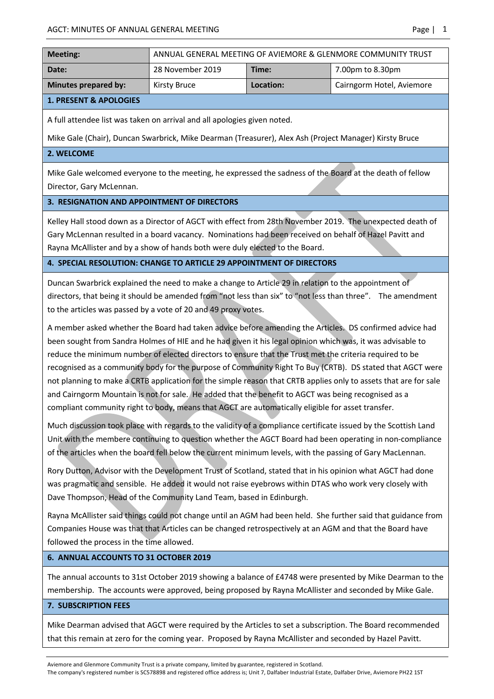| <b>Meeting:</b>                   | ANNUAL GENERAL MEETING OF AVIEMORE & GLENMORE COMMUNITY TRUST |           |                           |
|-----------------------------------|---------------------------------------------------------------|-----------|---------------------------|
| Date:                             | 28 November 2019                                              | Time:     | 7.00pm to 8.30pm          |
| Minutes prepared by:              | Kirsty Bruce                                                  | Location: | Cairngorm Hotel, Aviemore |
| <b>1. PRESENT &amp; APOLOGIES</b> |                                                               |           |                           |

A full attendee list was taken on arrival and all apologies given noted.

Mike Gale (Chair), Duncan Swarbrick, Mike Dearman (Treasurer), Alex Ash (Project Manager) Kirsty Bruce

#### **2. WELCOME**

Mike Gale welcomed everyone to the meeting, he expressed the sadness of the Board at the death of fellow Director, Gary McLennan.

### **3. RESIGNATION AND APPOINTMENT OF DIRECTORS**

Kelley Hall stood down as a Director of AGCT with effect from 28th November 2019. The unexpected death of Gary McLennan resulted in a board vacancy. Nominations had been received on behalf of Hazel Pavitt and Rayna McAllister and by a show of hands both were duly elected to the Board.

# **4. SPECIAL RESOLUTION: CHANGE TO ARTICLE 29 APPOINTMENT OF DIRECTORS**

Duncan Swarbrick explained the need to make a change to Article 29 in relation to the appointment of directors, that being it should be amended from "not less than six" to "not less than three". The amendment to the articles was passed by a vote of 20 and 49 proxy votes.

A member asked whether the Board had taken advice before amending the Articles. DS confirmed advice had been sought from Sandra Holmes of HIE and he had given it his legal opinion which was, it was advisable to reduce the minimum number of elected directors to ensure that the Trust met the criteria required to be recognised as a community body for the purpose of Community Right To Buy (CRTB). DS stated that AGCT were not planning to make a CRTB application for the simple reason that CRTB applies only to assets that are for sale and Cairngorm Mountain is not for sale. He added that the benefit to AGCT was being recognised as a compliant community right to body, means that AGCT are automatically eligible for asset transfer.

Much discussion took place with regards to the validity of a compliance certificate issued by the Scottish Land Unit with the membere continuing to question whether the AGCT Board had been operating in non-compliance of the articles when the board fell below the current minimum levels, with the passing of Gary MacLennan.

Rory Dutton, Advisor with the Development Trust of Scotland, stated that in his opinion what AGCT had done was pragmatic and sensible. He added it would not raise eyebrows within DTAS who work very closely with Dave Thompson, Head of the Community Land Team, based in Edinburgh.

Rayna McAllister said things could not change until an AGM had been held. She further said that guidance from Companies House was that that Articles can be changed retrospectively at an AGM and that the Board have followed the process in the time allowed.

#### **6. ANNUAL ACCOUNTS TO 31 OCTOBER 2019**

The annual accounts to 31st October 2019 showing a balance of £4748 were presented by Mike Dearman to the membership. The accounts were approved, being proposed by Rayna McAllister and seconded by Mike Gale.

#### **7. SUBSCRIPTION FEES**

Mike Dearman advised that AGCT were required by the Articles to set a subscription. The Board recommended that this remain at zero for the coming year. Proposed by Rayna McAllister and seconded by Hazel Pavitt.

Aviemore and Glenmore Community Trust is a private company, limited by guarantee, registered in Scotland.

The company's registered number is SC578898 and registered office address is; Unit 7, Dalfaber Industrial Estate, Dalfaber Drive, Aviemore PH22 1ST